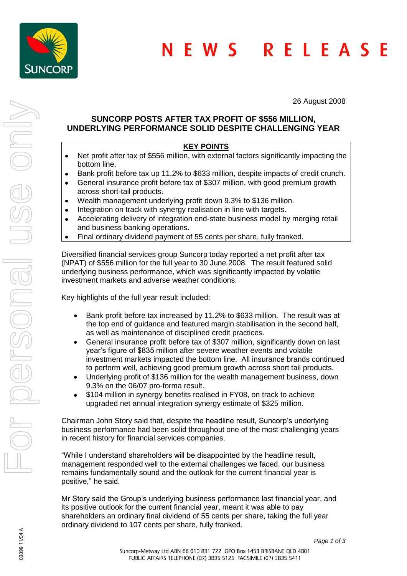

26 August 2008

# **SUNCORP POSTS AFTER TAX PROFIT OF \$556 MILLION, UNDERLYING PERFORMANCE SOLID DESPITE CHALLENGING YEAR**

# **KEY POINTS**

- Net profit after tax of \$556 million, with external factors significantly impacting the bottom line.
- Bank profit before tax up 11.2% to \$633 million, despite impacts of credit crunch.  $\bullet$
- General insurance profit before tax of \$307 million, with good premium growth  $\bullet$ across short-tail products.
- Wealth management underlying profit down 9.3% to \$136 million.  $\bullet$
- Integration on track with synergy realisation in line with targets.  $\bullet$
- Accelerating delivery of integration end-state business model by merging retail  $\bullet$ and business banking operations.
- Final ordinary dividend payment of 55 cents per share, fully franked.  $\bullet$

Diversified financial services group Suncorp today reported a net profit after tax (NPAT) of \$556 million for the full year to 30 June 2008. The result featured solid underlying business performance, which was significantly impacted by volatile investment markets and adverse weather conditions.

Key highlights of the full year result included:

- Bank profit before tax increased by 11.2% to \$633 million. The result was at the top end of guidance and featured margin stabilisation in the second half, as well as maintenance of disciplined credit practices.
- General insurance profit before tax of \$307 million, significantly down on last  $\bullet$ year's figure of \$835 million after severe weather events and volatile investment markets impacted the bottom line. All insurance brands continued to perform well, achieving good premium growth across short tail products.
- Underlying profit of \$136 million for the wealth management business, down  $\bullet$ 9.3% on the 06/07 pro-forma result.
- \$104 million in synergy benefits realised in FY08, on track to achieve  $\bullet$ upgraded net annual integration synergy estimate of \$325 million.

Chairman John Story said that, despite the headline result, Suncorp's underlying business performance had been solid throughout one of the most challenging years in recent history for financial services companies.

"While I understand shareholders will be disappointed by the headline result, management responded well to the external challenges we faced, our business remains fundamentally sound and the outlook for the current financial year is positive," he said.

Mr Story said the Group's underlying business performance last financial year, and its positive outlook for the current financial year, meant it was able to pay shareholders an ordinary final dividend of 55 cents per share, taking the full year ordinary dividend to 107 cents per share, fully franked.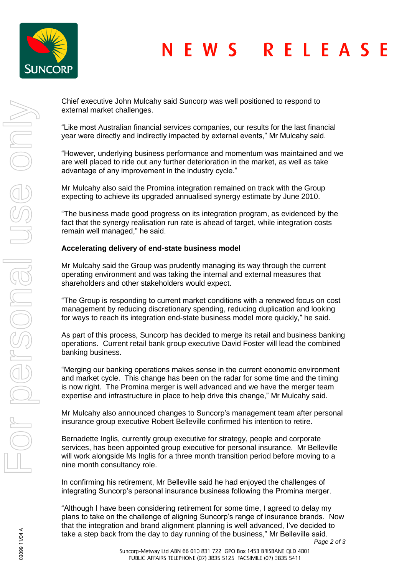

#### RELEAS **NFWS** - F

Chief executive John Mulcahy said Suncorp was well positioned to respond to external market challenges.

"Like most Australian financial services companies, our results for the last financial year were directly and indirectly impacted by external events," Mr Mulcahy said.

"However, underlying business performance and momentum was maintained and we are well placed to ride out any further deterioration in the market, as well as take advantage of any improvement in the industry cycle."

Mr Mulcahy also said the Promina integration remained on track with the Group expecting to achieve its upgraded annualised synergy estimate by June 2010.

"The business made good progress on its integration program, as evidenced by the fact that the synergy realisation run rate is ahead of target, while integration costs remain well managed," he said.

## **Accelerating delivery of end-state business model**

Mr Mulcahy said the Group was prudently managing its way through the current operating environment and was taking the internal and external measures that shareholders and other stakeholders would expect.

"The Group is responding to current market conditions with a renewed focus on cost management by reducing discretionary spending, reducing duplication and looking for ways to reach its integration end-state business model more quickly," he said.

As part of this process, Suncorp has decided to merge its retail and business banking operations. Current retail bank group executive David Foster will lead the combined banking business.

"Merging our banking operations makes sense in the current economic environment and market cycle. This change has been on the radar for some time and the timing is now right. The Promina merger is well advanced and we have the merger team expertise and infrastructure in place to help drive this change," Mr Mulcahy said.

Mr Mulcahy also announced changes to Suncorp's management team after personal insurance group executive Robert Belleville confirmed his intention to retire.

Bernadette Inglis, currently group executive for strategy, people and corporate services, has been appointed group executive for personal insurance. Mr Belleville will work alongside Ms Inglis for a three month transition period before moving to a nine month consultancy role.

In confirming his retirement, Mr Belleville said he had enjoyed the challenges of integrating Suncorp's personal insurance business following the Promina merger.

"Although I have been considering retirement for some time, I agreed to delay my plans to take on the challenge of aligning Suncorp's range of insurance brands. Now that the integration and brand alignment planning is well advanced, I've decided to take a step back from the day to day running of the business," Mr Belleville said.